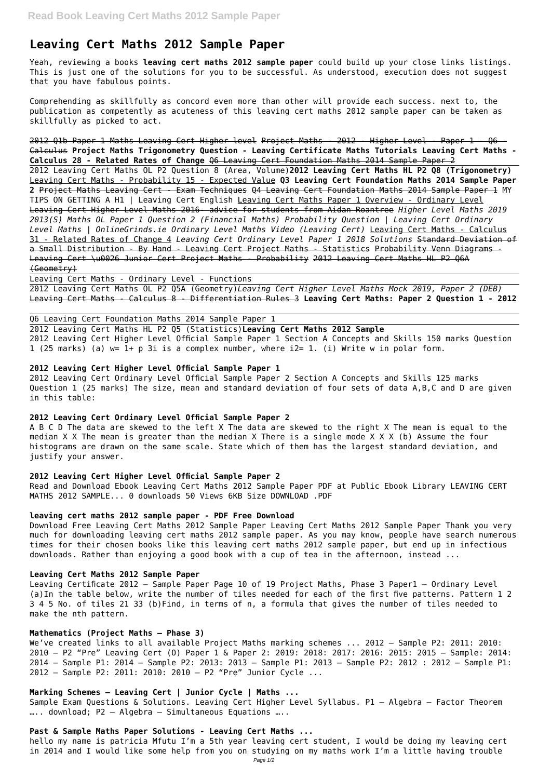# **Leaving Cert Maths 2012 Sample Paper**

Yeah, reviewing a books **leaving cert maths 2012 sample paper** could build up your close links listings. This is just one of the solutions for you to be successful. As understood, execution does not suggest that you have fabulous points.

Comprehending as skillfully as concord even more than other will provide each success. next to, the publication as competently as acuteness of this leaving cert maths 2012 sample paper can be taken as skillfully as picked to act.

2012 Q1b Paper 1 Maths Leaving Cert Higher level Project Maths - 2012 - Higher Level - Paper 1 - Q6 - Calculus **Project Maths Trigonometry Question - Leaving Certificate Maths Tutorials Leaving Cert Maths - Calculus 28 - Related Rates of Change** Q6 Leaving Cert Foundation Maths 2014 Sample Paper 2

2012 Leaving Cert Maths OL P2 Question 8 (Area, Volume)**2012 Leaving Cert Maths HL P2 Q8 (Trigonometry)** Leaving Cert Maths - Probability 15 - Expected Value **Q3 Leaving Cert Foundation Maths 2014 Sample Paper 2** Project Maths Leaving Cert - Exam Techniques Q4 Leaving Cert Foundation Maths 2014 Sample Paper 1 MY TIPS ON GETTING A H1 | Leaving Cert English Leaving Cert Maths Paper 1 Overview - Ordinary Level Leaving Cert Higher Level Maths 2016- advice for students from Aidan Roantree *Higher Level Maths 2019 2013(S) Maths OL Paper 1 Question 2 (Financial Maths) Probability Question | Leaving Cert Ordinary Level Maths | OnlineGrinds.ie Ordinary Level Maths Video (Leaving Cert)* Leaving Cert Maths - Calculus 31 - Related Rates of Change 4 *Leaving Cert Ordinary Level Paper 1 2018 Solutions* Standard Deviation of a Small Distribution - By Hand - Leaving Cert Project Maths - Statistics Probability Venn Diagrams -Leaving Cert \u0026 Junior Cert Project Maths - Probability 2012 Leaving Cert Maths HL P2 Q6A (Geometry)

Leaving Cert Maths - Ordinary Level - Functions

2012 Leaving Cert Maths OL P2 Q5A (Geometry)*Leaving Cert Higher Level Maths Mock 2019, Paper 2 (DEB)* Leaving Cert Maths - Calculus 8 - Differentiation Rules 3 **Leaving Cert Maths: Paper 2 Question 1 - 2012**

# Q6 Leaving Cert Foundation Maths 2014 Sample Paper 1

2012 Leaving Cert Maths HL P2 Q5 (Statistics)**Leaving Cert Maths 2012 Sample** 2012 Leaving Cert Higher Level Official Sample Paper 1 Section A Concepts and Skills 150 marks Question 1 (25 marks) (a) w= 1+ p 3i is a complex number, where i2= 1. (i) Write w in polar form.

# **2012 Leaving Cert Higher Level Official Sample Paper 1**

2012 Leaving Cert Ordinary Level Official Sample Paper 2 Section A Concepts and Skills 125 marks Question 1 (25 marks) The size, mean and standard deviation of four sets of data A,B,C and D are given in this table:

#### **2012 Leaving Cert Ordinary Level Official Sample Paper 2**

A B C D The data are skewed to the left X The data are skewed to the right X The mean is equal to the median X X The mean is greater than the median X There is a single mode X X X (b) Assume the four histograms are drawn on the same scale. State which of them has the largest standard deviation, and justify your answer.

#### **2012 Leaving Cert Higher Level Official Sample Paper 2**

Read and Download Ebook Leaving Cert Maths 2012 Sample Paper PDF at Public Ebook Library LEAVING CERT MATHS 2012 SAMPLE... 0 downloads 50 Views 6KB Size DOWNLOAD .PDF

# **leaving cert maths 2012 sample paper - PDF Free Download**

Download Free Leaving Cert Maths 2012 Sample Paper Leaving Cert Maths 2012 Sample Paper Thank you very much for downloading leaving cert maths 2012 sample paper. As you may know, people have search numerous times for their chosen books like this leaving cert maths 2012 sample paper, but end up in infectious downloads. Rather than enjoying a good book with a cup of tea in the afternoon, instead ...

#### **Leaving Cert Maths 2012 Sample Paper**

Leaving Certificate 2012 – Sample Paper Page 10 of 19 Project Maths, Phase 3 Paper1 – Ordinary Level

(a)In the table below, write the number of tiles needed for each of the first five patterns. Pattern 1 2 3 4 5 No. of tiles 21 33 (b)Find, in terms of n, a formula that gives the number of tiles needed to make the nth pattern.

#### **Mathematics (Project Maths – Phase 3)**

We've created links to all available Project Maths marking schemes ... 2012 – Sample P2: 2011: 2010: 2010 – P2 "Pre" Leaving Cert (O) Paper 1 & Paper 2: 2019: 2018: 2017: 2016: 2015: 2015 – Sample: 2014: 2014 – Sample P1: 2014 – Sample P2: 2013: 2013 – Sample P1: 2013 – Sample P2: 2012 : 2012 – Sample P1: 2012 – Sample P2: 2011: 2010: 2010 – P2 "Pre" Junior Cycle ...

**Marking Schemes – Leaving Cert | Junior Cycle | Maths ...** Sample Exam Questions & Solutions. Leaving Cert Higher Level Syllabus. P1 – Algebra – Factor Theorem ….. download; P2 – Algebra – Simultaneous Equations …..

# **Past & Sample Maths Paper Solutions - Leaving Cert Maths ...**

hello my name is patricia Mfutu I'm a 5th year leaving cert student, I would be doing my leaving cert in 2014 and I would like some help from you on studying on my maths work I'm a little having trouble